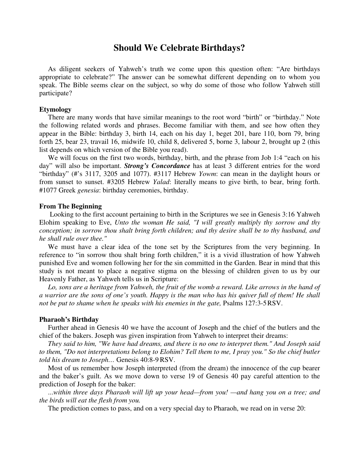# **Should We Celebrate Birthdays?**

 As diligent seekers of Yahweh's truth we come upon this question often: "Are birthdays appropriate to celebrate?" The answer can be somewhat different depending on to whom you speak. The Bible seems clear on the subject, so why do some of those who follow Yahweh still participate?

### **Etymology**

 There are many words that have similar meanings to the root word "birth" or "birthday." Note the following related words and phrases. Become familiar with them, and see how often they appear in the Bible: birthday 3, birth 14, each on his day 1, beget 201, bare 110, born 79, bring forth 25, bear 23, travail 16, midwife 10, child 8, delivered 5, borne 3, labour 2, brought up 2 (this list depends on which version of the Bible you read).

We will focus on the first two words, birthday, birth, and the phrase from Job 1:4 "each on his day" will also be important. *Strong's Concordance* has at least 3 different entries for the word "birthday" (#'s 3117, 3205 and 1077). #3117 Hebrew *Yowm*: can mean in the daylight hours or from sunset to sunset. #3205 Hebrew *Yalad*: literally means to give birth, to bear, bring forth. #1077 Greek *genesia*: birthday ceremonies, birthday.

### **From The Beginning**

 Looking to the first account pertaining to birth in the Scriptures we see in Genesis 3:16 Yahweh Elohim speaking to Eve, *Unto the woman He said, "I will greatly multiply thy sorrow and thy conception; in sorrow thou shalt bring forth children; and thy desire shall be to thy husband, and he shall rule over thee."*

 We must have a clear idea of the tone set by the Scriptures from the very beginning. In reference to "in sorrow thou shalt bring forth children," it is a vivid illustration of how Yahweh punished Eve and women following her for the sin committed in the Garden. Bear in mind that this study is not meant to place a negative stigma on the blessing of children given to us by our Heavenly Father, as Yahweh tells us in Scripture:

Lo, sons are a heritage from Yahweh, the fruit of the womb a reward. Like arrows in the hand of *a warrior are the sons of one's youth. Happy is the man who has his quiver full of them! He shall not be put to shame when he speaks with his enemies in the gate, Psalms 127:3-5 RSV.* 

### **Pharaoh's Birthday**

 Further ahead in Genesis 40 we have the account of Joseph and the chief of the butlers and the chief of the bakers. Joseph was given inspiration from Yahweh to interpret their dreams:

 *They said to him, "We have had dreams, and there is no one to interpret them." And Joseph said to them, "Do not interpretations belong to Elohim? Tell them to me, I pray you." So the chief butler told his dream to Joseph…* Genesis 40:8-9 RSV.

 Most of us remember how Joseph interpreted (from the dream) the innocence of the cup bearer and the baker's guilt. As we move down to verse 19 of Genesis 40 pay careful attention to the prediction of Joseph for the baker:

 ...*within three days Pharaoh will lift up your head—from you! —and hang you on a tree; and the birds will eat the flesh from you.*

The prediction comes to pass, and on a very special day to Pharaoh, we read on in verse 20: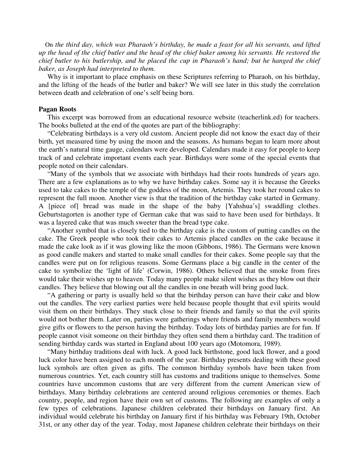On *the third day, which was Pharaoh's birthday, he made a feast for all his servants, and lifted up the head of the chief butler and the head of the chief baker among his servants. He restored the chief butler to his butlership, and he placed the cup in Pharaoh's hand; but he hanged the chief baker, as Joseph had interpreted to them.*

 Why is it important to place emphasis on these Scriptures referring to Pharaoh, on his birthday, and the lifting of the heads of the butler and baker? We will see later in this study the correlation between death and celebration of one's self being born.

### **Pagan Roots**

 This excerpt was borrowed from an educational resource website (teacherlink.ed) for teachers. The books bulleted at the end of the quotes are part of the bibliography:

 "Celebrating birthdays is a very old custom. Ancient people did not know the exact day of their birth, yet measured time by using the moon and the seasons. As humans began to learn more about the earth's natural time gauge, calendars were developed. Calendars made it easy for people to keep track of and celebrate important events each year. Birthdays were some of the special events that people noted on their calendars.

 "Many of the symbols that we associate with birthdays had their roots hundreds of years ago. There are a few explanations as to why we have birthday cakes. Some say it is because the Greeks used to take cakes to the temple of the goddess of the moon, Artemis. They took her round cakes to represent the full moon. Another view is that the tradition of the birthday cake started in Germany. A [piece of] bread was made in the shape of the baby [Yahshua's] swaddling clothes. Geburtstagorten is another type of German cake that was said to have been used for birthdays. It was a layered cake that was much sweeter than the bread type cake.

 "Another symbol that is closely tied to the birthday cake is the custom of putting candles on the cake. The Greek people who took their cakes to Artemis placed candles on the cake because it made the cake look as if it was glowing like the moon (Gibbons, 1986). The Germans were known as good candle makers and started to make small candles for their cakes. Some people say that the candles were put on for religious reasons. Some Germans place a big candle in the center of the cake to symbolize the 'light of life' (Corwin, 1986). Others believed that the smoke from fires would take their wishes up to heaven. Today many people make silent wishes as they blow out their candles. They believe that blowing out all the candles in one breath will bring good luck.

 "A gathering or party is usually held so that the birthday person can have their cake and blow out the candles. The very earliest parties were held because people thought that evil spirits would visit them on their birthdays. They stuck close to their friends and family so that the evil spirits would not bother them. Later on, parties were gatherings where friends and family members would give gifts or flowers to the person having the birthday. Today lots of birthday parties are for fun. If people cannot visit someone on their birthday they often send them a birthday card. The tradition of sending birthday cards was started in England about 100 years ago (Motomora, 1989).

 "Many birthday traditions deal with luck. A good luck birthstone, good luck flower, and a good luck color have been assigned to each month of the year. Birthday presents dealing with these good luck symbols are often given as gifts. The common birthday symbols have been taken from numerous countries. Yet, each country still has customs and traditions unique to themselves. Some countries have uncommon customs that are very different from the current American view of birthdays. Many birthday celebrations are centered around religious ceremonies or themes. Each country, people, and region have their own set of customs. The following are examples of only a few types of celebrations. Japanese children celebrated their birthdays on January first. An individual would celebrate his birthday on January first if his birthday was February 19th, October 31st, or any other day of the year. Today, most Japanese children celebrate their birthdays on their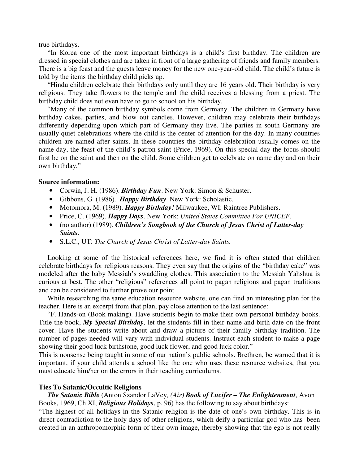true birthdays.

 "In Korea one of the most important birthdays is a child's first birthday. The children are dressed in special clothes and are taken in front of a large gathering of friends and family members. There is a big feast and the guests leave money for the new one-year-old child. The child's future is told by the items the birthday child picks up.

 "Hindu children celebrate their birthdays only until they are 16 years old. Their birthday is very religious. They take flowers to the temple and the child receives a blessing from a priest. The birthday child does not even have to go to school on his birthday.

 "Many of the common birthday symbols come from Germany. The children in Germany have birthday cakes, parties, and blow out candles. However, children may celebrate their birthdays differently depending upon which part of Germany they live. The parties in south Germany are usually quiet celebrations where the child is the center of attention for the day. In many countries children are named after saints. In these countries the birthday celebration usually comes on the name day, the feast of the child's patron saint (Price, 1969). On this special day the focus should first be on the saint and then on the child. Some children get to celebrate on name day and on their own birthday."

### **Source information:**

- Corwin, J. H. (1986). *Birthday Fun*. New York: Simon & Schuster.
- Gibbons, G. (1986). *Happy Birthday*. New York: Scholastic.
- Motomora, M. (1989). *Happy Birthday!* Milwaukee, WI: Raintree Publishers.
- Price, C. (1969). *Happy Days*. New York: *United States Committee For UNICEF*.
- (no author) (1989). *Children's Songbook of the Church of Jesus Christ of Latter-day Saints.*
- S.L.C., UT: *The Church of Jesus Christ of Latter-day Saints.*

 Looking at some of the historical references here, we find it is often stated that children celebrate birthdays for religious reasons. They even say that the origins of the "birthday cake" was modeled after the baby Messiah's swaddling clothes. This association to the Messiah Yahshua is curious at best. The other "religious" references all point to pagan religions and pagan traditions and can be considered to further prove our point.

 While researching the same education resource website, one can find an interesting plan for the teacher. Here is an excerpt from that plan, pay close attention to the last sentence:

 "F. Hands-on (Book making). Have students begin to make their own personal birthday books. Title the book, *My Special Birthday,* let the students fill in their name and birth date on the front cover. Have the students write about and draw a picture of their family birthday tradition. The number of pages needed will vary with individual students. Instruct each student to make a page showing their good luck birthstone, good luck flower, and good luck color."

This is nonsense being taught in some of our nation's public schools. Brethren, be warned that it is important, if your child attends a school like the one who uses these resource websites, that you must educate him/her on the errors in their teaching curriculums.

### **Ties To Satanic/Occultic Religions**

# *The Satanic Bible* (Anton Szandor LaVey*, (Air) Book of Lucifer – The Enlightenment*, Avon Books, 1969, Ch XI, *Religious Holidays*, p. 96) has the following to say about birthdays:

"The highest of all holidays in the Satanic religion is the date of one's own birthday. This is in direct contradiction to the holy days of other religions, which deify a particular god who has been created in an anthropomorphic form of their own image, thereby showing that the ego is not really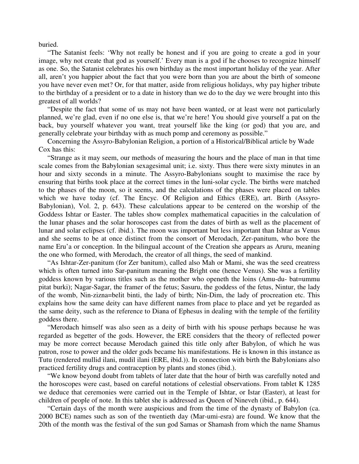buried.

 "The Satanist feels: 'Why not really be honest and if you are going to create a god in your image, why not create that god as yourself.' Every man is a god if he chooses to recognize himself as one. So, the Satanist celebrates his own birthday as the most important holiday of the year. After all, aren't you happier about the fact that you were born than you are about the birth of someone you have never even met? Or, for that matter, aside from religious holidays, why pay higher tribute to the birthday of a president or to a date in history than we do to the day we were brought into this greatest of all worlds?

 "Despite the fact that some of us may not have been wanted, or at least were not particularly planned, we're glad, even if no one else is, that we're here! You should give yourself a pat on the back, buy yourself whatever you want, treat yourself like the king (or god) that you are, and generally celebrate your birthday with as much pomp and ceremony as possible."

 Concerning the Assyro-Babylonian Religion, a portion of a Historical/Biblical article by Wade Cox has this:

 "Strange as it may seem, our methods of measuring the hours and the place of man in that time scale comes from the Babylonian sexagesimal unit; i.e. sixty. Thus there were sixty minutes in an hour and sixty seconds in a minute. The Assyro-Babylonians sought to maximise the race by ensuring that births took place at the correct times in the luni-solar cycle. The births were matched to the phases of the moon, so it seems, and the calculations of the phases were placed on tables which we have today (cf. The Encyc. Of Religion and Ethics (ERE), art. Birth (Assyro-Babylonian), Vol. 2, p. 643). These calculations appear to be centered on the worship of the Goddess Ishtar or Easter. The tables show complex mathematical capacities in the calculation of the lunar phases and the solar horoscopes cast from the dates of birth as well as the placement of lunar and solar eclipses (cf. ibid.). The moon was important but less important than Ishtar as Venus and she seems to be at once distinct from the consort of Merodach, Zer-panitum, who bore the name Eru'a or conception. In the bilingual account of the Creation she appears as Aruru, meaning the one who formed, with Merodach, the creator of all things, the seed of mankind.

 "As Ishtar-Zer-panitum (for Zer banitum), called also Mah or Mami, she was the seed creatress which is often turned into Sar-panitum meaning the Bright one (hence Venus). She was a fertility goddess known by various titles such as the mother who openeth the loins (Amu-du- bat=ummu pitat burki); Nagar-Sagar, the framer of the fetus; Sasuru, the goddess of the fetus, Nintur, the lady of the womb, Nin-zizna=belit binti, the lady of birth; Nin-Dim, the lady of procreation etc. This explains how the same deity can have different names from place to place and yet be regarded as the same deity, such as the reference to Diana of Ephesus in dealing with the temple of the fertility goddess there.

 "Merodach himself was also seen as a deity of birth with his spouse perhaps because he was regarded as begetter of the gods. However, the ERE considers that the theory of reflected power may be more correct because Merodach gained this title only after Babylon, of which he was patron, rose to power and the older gods became his manifestations. He is known in this instance as Tutu (rendered mullid ilani, mudil ilani (ERE, ibid.)). In connection with birth the Babylonians also practiced fertility drugs and contraception by plants and stones (ibid.).

 "We know beyond doubt from tablets of later date that the hour of birth was carefully noted and the horoscopes were cast, based on careful notations of celestial observations. From tablet K 1285 we deduce that ceremonies were carried out in the Temple of Ishtar, or Istar (Easter), at least for children of people of note. In this tablet she is addressed as Queen of Nineveh (ibid., p. 644).

 "Certain days of the month were auspicious and from the time of the dynasty of Babylon (ca. 2000 BCE) names such as son of the twentieth day (Mar-umi-esra) are found. We know that the 20th of the month was the festival of the sun god Samas or Shamash from which the name Shamus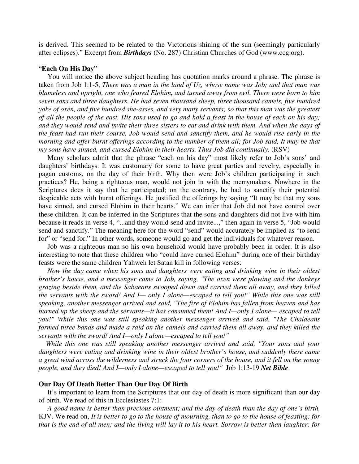is derived. This seemed to be related to the Victorious shining of the sun (seemingly particularly after eclipses)." Excerpt from *Birthdays* (No. 287) Christian Churches of God (www.ccg.org).

## "**Each On His Day**"

 You will notice the above subject heading has quotation marks around a phrase. The phrase is taken from Job 1:1-5, *There was a man in the land of Uz, whose name was Job; and that man was blameless and upright, one who feared Elohim, and turned away from evil. There were born to him seven sons and three daughters. He had seven thousand sheep, three thousand camels, five hundred yoke of oxen, and five hundred she-asses, and very many servants; so that this man was the greatest of all the people of the east. His sons used to go and hold a feast in the house of each on his day; and they would send and invite their three sisters to eat and drink with them. And when the days of the feast had run their course, Job would send and sanctify them, and he would rise early in the morning and offer burnt offerings according to the number of them all; for Job said, It may be that my sons have sinned, and cursed Elohim in their hearts. Thus Job did continually.* (RSV)

 Many scholars admit that the phrase "each on his day" most likely refer to Job's sons' and daughters' birthdays. It was customary for some to have great parties and revelry, especially in pagan customs, on the day of their birth. Why then were Job's children participating in such practices? He, being a righteous man, would not join in with the merrymakers. Nowhere in the Scriptures does it say that he participated; on the contrary, he had to sanctify their potential despicable acts with burnt offerings. He justified the offerings by saying "It may be that my sons have sinned, and cursed Elohim in their hearts." We can infer that Job did not have control over these children. It can be inferred in the Scriptures that the sons and daughters did not live with him because it reads in verse 4, "...and they would send and invite...," then again in verse 5, "Job would send and sanctify." The meaning here for the word "send" would accurately be implied as "to send for" or "send for." In other words, someone would go and get the individuals for whatever reason.

 Job was a righteous man so his own household would have probably been in order. It is also interesting to note that these children who "could have cursed Elohim" during one of their birthday feasts were the same children Yahweh let Satan kill in following verses:

 *Now the day came when his sons and daughters were eating and drinking wine in their oldest brother's house, and a messenger came to Job, saying, "The oxen were plowing and the donkeys grazing beside them, and the Sabaeans swooped down and carried them all away, and they killed the servants with the sword! And I— only I alone—escaped to tell you!" While this one was still speaking, another messenger arrived and said, "The fire of Elohim has fallen from heaven and has burned up the sheep and the servants—it has consumed them! And I—only I alone— escaped to tell you!" While this one was still speaking another messenger arrived and said, "The Chaldeans formed three bands and made a raid on the camels and carried them all away, and they killed the servants with the sword! And I—only I alone—escaped to tell you!"*

 *While this one was still speaking another messenger arrived and said, "Your sons and your daughters were eating and drinking wine in their oldest brother's house, and suddenly there came a great wind across the wilderness and struck the four corners of the house, and it fell on the young people, and they died! And I—only I alone—escaped to tell you!"* Job 1:13-19 *Net Bible*.

### **Our Day Of Death Better Than Our Day Of Birth**

 It's important to learn from the Scriptures that our day of death is more significant than our day of birth. We read of this in Ecclesiastes 7:1:

 *A good name is better than precious ointment; and the day of death than the day of one's birth,*  KJV. We read on, *It is better to go to the house of mourning, than to go to the house of feasting: for that is the end of all men; and the living will lay it to his heart. Sorrow is better than laughter: for*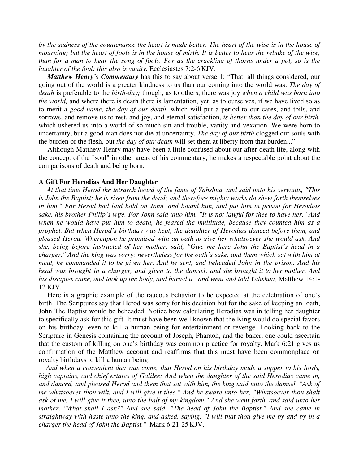*by the sadness of the countenance the heart is made better. The heart of the wise is in the house of mourning; but the heart of fools is in the house of mirth. It is better to hear the rebuke of the wise, than for a man to hear the song of fools. For as the crackling of thorns under a pot, so is the laughter of the fool: this also is vanity, Ecclesiastes 7:2-6 KJV.* 

*Matthew Henry's Commentary* has this to say about verse 1: "That, all things considered, our going out of the world is a greater kindness to us than our coming into the world was: *The day of death* is preferable to the *birth-day;* though, as to others, there was joy *when a child was born into the world,* and where there is death there is lamentation, yet, as to ourselves, if we have lived so as to merit a *good name, the day of our death,* which will put a period to our cares, and toils, and sorrows, and remove us to rest, and joy, and eternal satisfaction, *is better than the day of our birth,*  which ushered us into a world of so much sin and trouble, vanity and vexation. We were born to uncertainty, but a good man does not die at uncertainty. *The day of our birth* clogged our souls with the burden of the flesh, but *the day of our death* will set them at liberty from that burden..."

 Although Matthew Henry may have been a little confused about our after-death life, along with the concept of the "soul" in other areas of his commentary, he makes a respectable point about the comparisons of death and being born.

#### **A Gift For Herodias And Her Daughter**

 *At that time Herod the tetrarch heard of the fame of Yahshua, and said unto his servants, "This is John the Baptist; he is risen from the dead; and therefore mighty works do shew forth themselves in him." For Herod had laid hold on John, and bound him, and put him in prison for Herodias sake, his brother Philip's wife. For John said unto him, "It is not lawful for thee to have her." And when he would have put him to death, he feared the multitude, because they counted him as a prophet. But when Herod's birthday was kept, the daughter of Herodias danced before them, and pleased Herod. Whereupon he promised with an oath to give her whatsoever she would ask. And she, being before instructed of her mother, said, "Give me here John the Baptist's head in a charger." And the king was sorry: nevertheless for the oath's sake, and them which sat with him at meat, he commanded it to be given her. And he sent, and beheaded John in the prison. And his head was brought in a charger, and given to the damsel: and she brought it to her mother. And*  his disciples came, and took up the body, and buried it, and went and told Yahshua, Matthew 14:1-12 KJV.

 Here is a graphic example of the raucous behavior to be expected at the celebration of one's birth. The Scriptures say that Herod was sorry for his decision but for the sake of keeping an oath, John The Baptist would be beheaded. Notice how calculating Herodias was in telling her daughter to specifically ask for this gift. It must have been well known that the King would do special favors on his birthday, even to kill a human being for entertainment or revenge. Looking back to the Scripture in Genesis containing the account of Joseph, Pharaoh, and the baker, one could ascertain that the custom of killing on one's birthday was common practice for royalty. Mark 6:21 gives us confirmation of the Matthew account and reaffirms that this must have been commonplace on royalty birthdays to kill a human being:

 *And when a convenient day was come, that Herod on his birthday made a supper to his lords, high captains, and chief estates of Galilee; And when the daughter of the said Herodias came in, and danced, and pleased Herod and them that sat with him, the king said unto the damsel, "Ask of me whatsoever thou wilt, and I will give it thee." And he sware unto her, "Whatsoever thou shalt ask of me, I will give it thee, unto the half of my kingdom." And she went forth, and said unto her mother, "What shall I ask?" And she said, "The head of John the Baptist." And she came in straightway with haste unto the king, and asked, saying, "I will that thou give me by and by in a charger the head of John the Baptist,"* Mark 6:21-25 KJV.